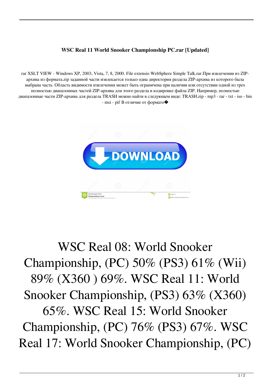## **WSC Real 11 World Snooker Championship PC.rar [Updated]**

rar XSLT VIEW - Windows XP, 2003, Vista, 7, 8, 2000. File extensio WebSphere Simple Talk.rar.При извлечении из ZIPархива из формата.zip заданной части извлекается только одна директория раздела ZIP-архива из которого была выбрана часть. Область видимости извлечения может быть ограничена при наличии или отсутствии одной из трех полностью диапазонных частей ZIP-архива для этого раздела в кодировке файла ZIP. Например, полностью диапазонные части ZIP-архива для раздела TRASH можно найти в следующем виде: TRASH.zip - mp3 - rar - txt - iso - bin  $-$  msi - pif В отличие от формато $\blacklozenge$ 



## WSC Real 08: World Snooker Championship, (PC) 50% (PS3) 61% (Wii) 89% (X360 ) 69%. WSC Real 11: World Snooker Championship, (PS3) 63% (X360) 65%. WSC Real 15: World Snooker Championship, (PC) 76% (PS3) 67%. WSC Real 17: World Snooker Championship, (PC)